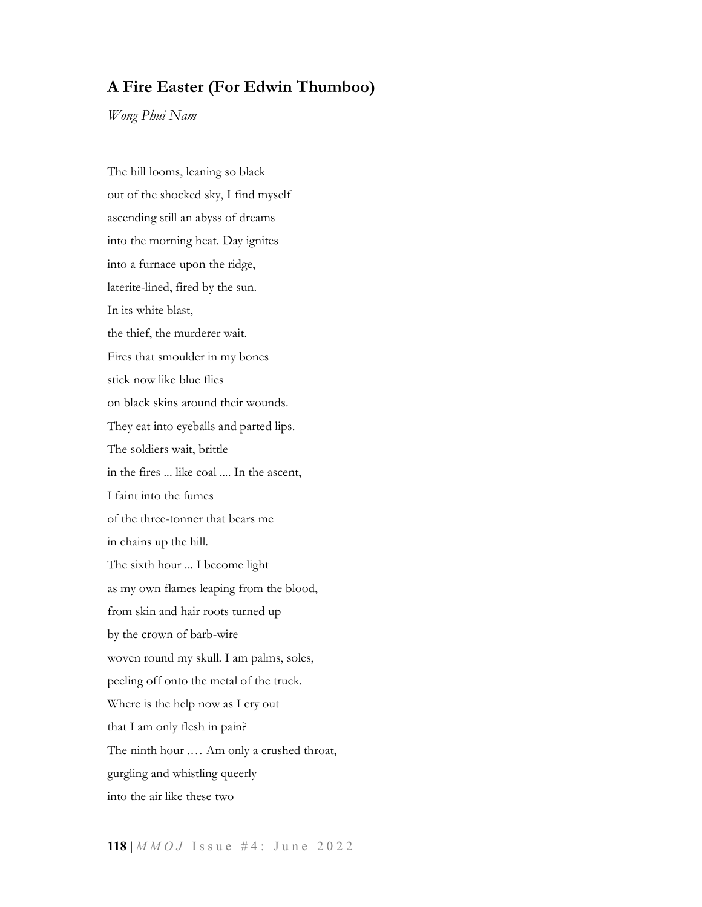## A Fire Easter (For Edwin Thumboo)

Wong Phui Nam

The hill looms, leaning so black out of the shocked sky, I find myself ascending still an abyss of dreams into the morning heat. Day ignites into a furnace upon the ridge, laterite-lined, fired by the sun. In its white blast, the thief, the murderer wait. Fires that smoulder in my bones stick now like blue flies on black skins around their wounds. They eat into eyeballs and parted lips. The soldiers wait, brittle in the fires ... like coal .... In the ascent, I faint into the fumes of the three-tonner that bears me in chains up the hill. The sixth hour ... I become light as my own flames leaping from the blood, from skin and hair roots turned up by the crown of barb-wire woven round my skull. I am palms, soles, peeling off onto the metal of the truck. Where is the help now as I cry out that I am only flesh in pain? The ninth hour .… Am only a crushed throat, gurgling and whistling queerly into the air like these two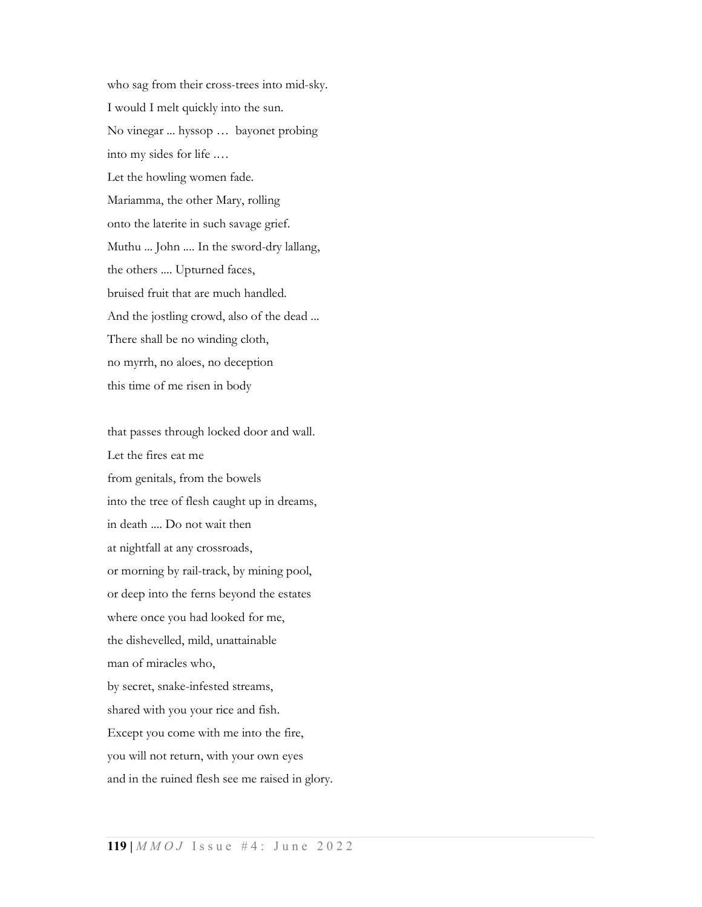who sag from their cross-trees into mid-sky. I would I melt quickly into the sun. No vinegar ... hyssop … bayonet probing into my sides for life .… Let the howling women fade. Mariamma, the other Mary, rolling onto the laterite in such savage grief. Muthu ... John .... In the sword-dry lallang, the others .... Upturned faces, bruised fruit that are much handled. And the jostling crowd, also of the dead ... There shall be no winding cloth, no myrrh, no aloes, no deception this time of me risen in body

that passes through locked door and wall. Let the fires eat me from genitals, from the bowels into the tree of flesh caught up in dreams, in death .... Do not wait then at nightfall at any crossroads, or morning by rail-track, by mining pool, or deep into the ferns beyond the estates where once you had looked for me, the dishevelled, mild, unattainable man of miracles who, by secret, snake-infested streams, shared with you your rice and fish. Except you come with me into the fire, you will not return, with your own eyes and in the ruined flesh see me raised in glory.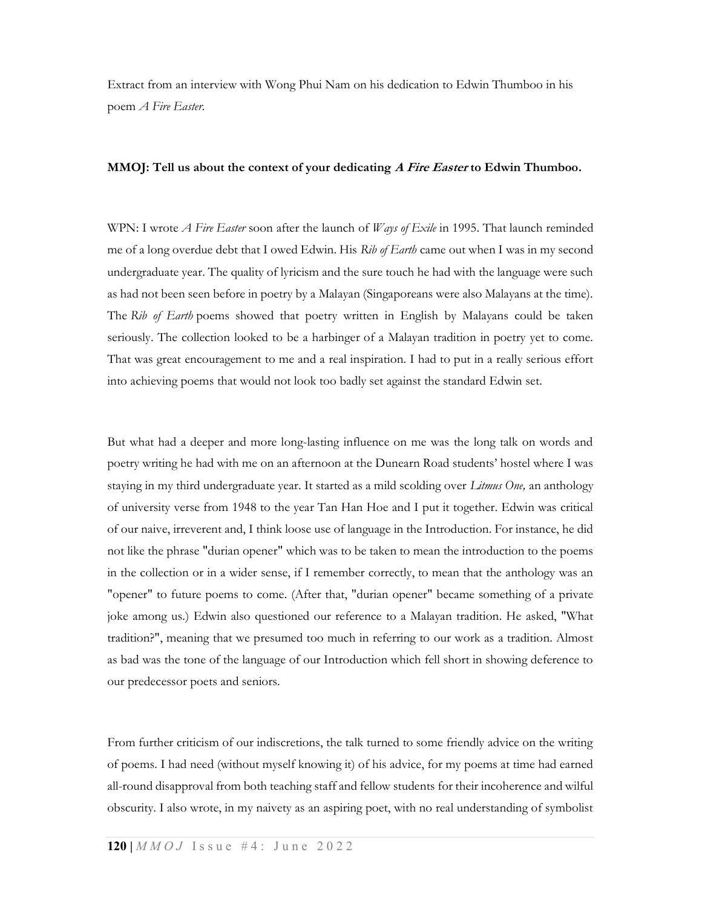Extract from an interview with Wong Phui Nam on his dedication to Edwin Thumboo in his poem A Fire Easter.

## MMOJ: Tell us about the context of your dedicating A Fire Easter to Edwin Thumboo.

WPN: I wrote A Fire Easter soon after the launch of *Ways of Exile* in 1995. That launch reminded me of a long overdue debt that I owed Edwin. His Rib of Earth came out when I was in my second undergraduate year. The quality of lyricism and the sure touch he had with the language were such as had not been seen before in poetry by a Malayan (Singaporeans were also Malayans at the time). The Rib of Earth poems showed that poetry written in English by Malayans could be taken seriously. The collection looked to be a harbinger of a Malayan tradition in poetry yet to come. That was great encouragement to me and a real inspiration. I had to put in a really serious effort into achieving poems that would not look too badly set against the standard Edwin set.

But what had a deeper and more long-lasting influence on me was the long talk on words and poetry writing he had with me on an afternoon at the Dunearn Road students' hostel where I was staying in my third undergraduate year. It started as a mild scolding over *Litmus One*, an anthology of university verse from 1948 to the year Tan Han Hoe and I put it together. Edwin was critical of our naive, irreverent and, I think loose use of language in the Introduction. For instance, he did not like the phrase "durian opener" which was to be taken to mean the introduction to the poems in the collection or in a wider sense, if I remember correctly, to mean that the anthology was an "opener" to future poems to come. (After that, "durian opener" became something of a private joke among us.) Edwin also questioned our reference to a Malayan tradition. He asked, "What tradition?", meaning that we presumed too much in referring to our work as a tradition. Almost as bad was the tone of the language of our Introduction which fell short in showing deference to our predecessor poets and seniors.

From further criticism of our indiscretions, the talk turned to some friendly advice on the writing of poems. I had need (without myself knowing it) of his advice, for my poems at time had earned all-round disapproval from both teaching staff and fellow students for their incoherence and wilful obscurity. I also wrote, in my naivety as an aspiring poet, with no real understanding of symbolist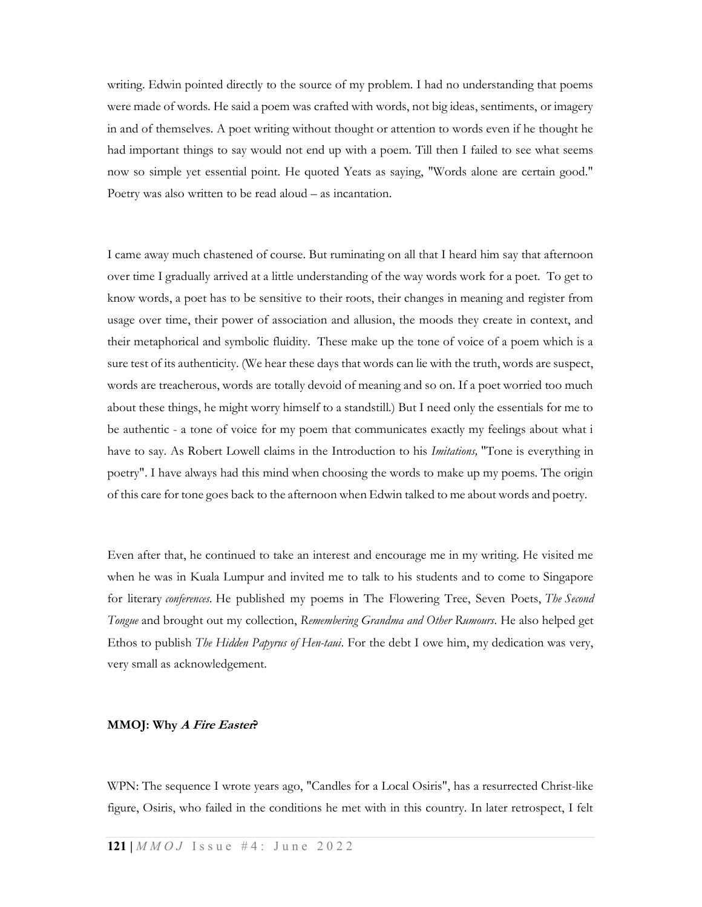writing. Edwin pointed directly to the source of my problem. I had no understanding that poems were made of words. He said a poem was crafted with words, not big ideas, sentiments, or imagery in and of themselves. A poet writing without thought or attention to words even if he thought he had important things to say would not end up with a poem. Till then I failed to see what seems now so simple yet essential point. He quoted Yeats as saying, "Words alone are certain good." Poetry was also written to be read aloud – as incantation.

I came away much chastened of course. But ruminating on all that I heard him say that afternoon over time I gradually arrived at a little understanding of the way words work for a poet. To get to know words, a poet has to be sensitive to their roots, their changes in meaning and register from usage over time, their power of association and allusion, the moods they create in context, and their metaphorical and symbolic fluidity. These make up the tone of voice of a poem which is a sure test of its authenticity. (We hear these days that words can lie with the truth, words are suspect, words are treacherous, words are totally devoid of meaning and so on. If a poet worried too much about these things, he might worry himself to a standstill.) But I need only the essentials for me to be authentic - a tone of voice for my poem that communicates exactly my feelings about what i have to say. As Robert Lowell claims in the Introduction to his *Imitations*, "Tone is everything in poetry". I have always had this mind when choosing the words to make up my poems. The origin of this care for tone goes back to the afternoon when Edwin talked to me about words and poetry.

Even after that, he continued to take an interest and encourage me in my writing. He visited me when he was in Kuala Lumpur and invited me to talk to his students and to come to Singapore for literary conferences. He published my poems in The Flowering Tree, Seven Poets, The Second Tongue and brought out my collection, Remembering Grandma and Other Rumours. He also helped get Ethos to publish *The Hidden Papyrus of Hen-taui*. For the debt I owe him, my dedication was very, very small as acknowledgement.

## MMOJ: Why *A Fire Easter*?

WPN: The sequence I wrote years ago, "Candles for a Local Osiris", has a resurrected Christ-like figure, Osiris, who failed in the conditions he met with in this country. In later retrospect, I felt